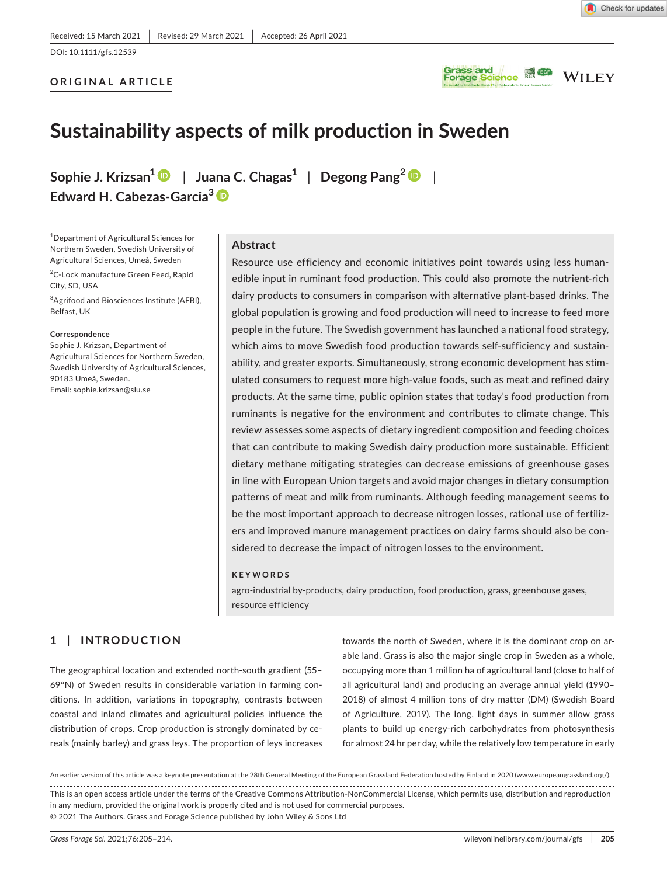DOI: 10.1111/gfs.12539

## **ORIGINAL ARTICLE**





# **Sustainability aspects of milk production in Sweden**

**Sophie J. Krizsan<sup>1</sup>** | **Juana C. Chagas<sup>1</sup>** | **Degong Pang[2](https://orcid.org/0000-0001-5498-8518)** | **Edward H. Cabezas-Garcia[3](https://orcid.org/0000-0001-7648-904X)**

1 Department of Agricultural Sciences for Northern Sweden, Swedish University of Agricultural Sciences, Umeå, Sweden

<sup>2</sup>C-Lock manufacture Green Feed, Rapid City, SD, USA

<sup>3</sup>Agrifood and Biosciences Institute (AFBI), Belfast, UK

#### **Correspondence**

Sophie J. Krizsan, Department of Agricultural Sciences for Northern Sweden, Swedish University of Agricultural Sciences, 90183 Umeå, Sweden. Email: [sophie.krizsan@slu.se](mailto:sophie.krizsan@slu.se)

## **Abstract**

Resource use efficiency and economic initiatives point towards using less humanedible input in ruminant food production. This could also promote the nutrient-rich dairy products to consumers in comparison with alternative plant-based drinks. The global population is growing and food production will need to increase to feed more people in the future. The Swedish government has launched a national food strategy, which aims to move Swedish food production towards self-sufficiency and sustainability, and greater exports. Simultaneously, strong economic development has stimulated consumers to request more high-value foods, such as meat and refined dairy products. At the same time, public opinion states that today's food production from ruminants is negative for the environment and contributes to climate change. This review assesses some aspects of dietary ingredient composition and feeding choices that can contribute to making Swedish dairy production more sustainable. Efficient dietary methane mitigating strategies can decrease emissions of greenhouse gases in line with European Union targets and avoid major changes in dietary consumption patterns of meat and milk from ruminants. Although feeding management seems to be the most important approach to decrease nitrogen losses, rational use of fertilizers and improved manure management practices on dairy farms should also be considered to decrease the impact of nitrogen losses to the environment.

#### **KEYWORDS**

agro-industrial by-products, dairy production, food production, grass, greenhouse gases, resource efficiency

## **1** | **INTRODUCTION**

The geographical location and extended north-south gradient (55– 69°N) of Sweden results in considerable variation in farming conditions. In addition, variations in topography, contrasts between coastal and inland climates and agricultural policies influence the distribution of crops. Crop production is strongly dominated by cereals (mainly barley) and grass leys. The proportion of leys increases

towards the north of Sweden, where it is the dominant crop on arable land. Grass is also the major single crop in Sweden as a whole, occupying more than 1 million ha of agricultural land (close to half of all agricultural land) and producing an average annual yield (1990– 2018) of almost 4 million tons of dry matter (DM) (Swedish Board of Agriculture, 2019). The long, light days in summer allow grass plants to build up energy-rich carbohydrates from photosynthesis for almost 24 hr per day, while the relatively low temperature in early

This is an open access article under the terms of the [Creative Commons Attribution-NonCommercial](http://creativecommons.org/licenses/by-nc/4.0/) License, which permits use, distribution and reproduction in any medium, provided the original work is properly cited and is not used for commercial purposes. © 2021 The Authors. Grass and Forage Science published by John Wiley & Sons Ltd An earlier version of this article was a keynote presentation at the 28th General Meeting of the European Grassland Federation hosted by Finland in 2020 [\(www.europeangrassland.org/](https://www.europeangrassland.org/)).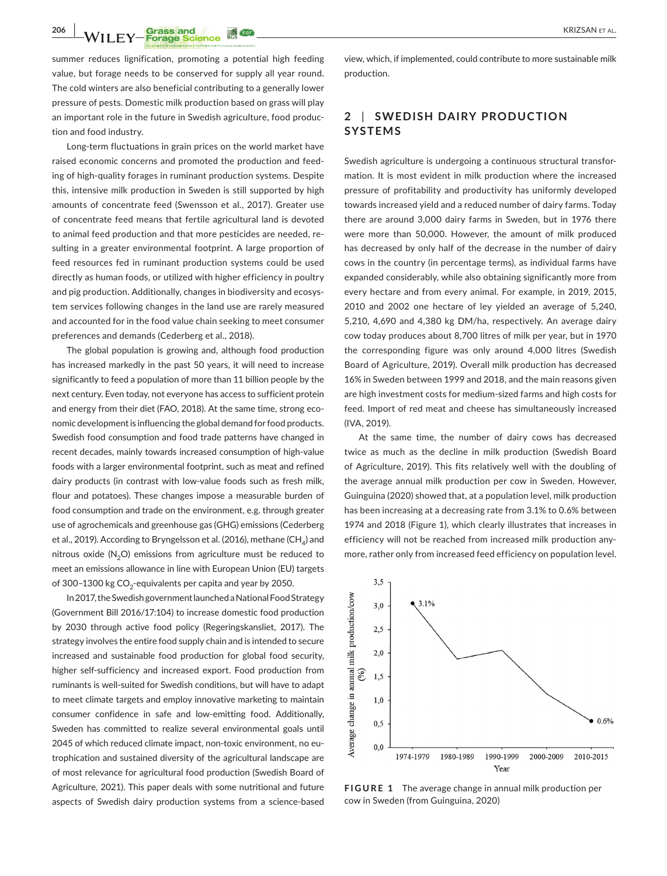**206 | WILEY-Forage Science #69 | CONSTRUCTER | CONSTRUCTED AT ALL CONSTRUCT ALL CONSTRUCT ALL** 

summer reduces lignification, promoting a potential high feeding value, but forage needs to be conserved for supply all year round. The cold winters are also beneficial contributing to a generally lower pressure of pests. Domestic milk production based on grass will play an important role in the future in Swedish agriculture, food production and food industry.

Long-term fluctuations in grain prices on the world market have raised economic concerns and promoted the production and feeding of high-quality forages in ruminant production systems. Despite this, intensive milk production in Sweden is still supported by high amounts of concentrate feed (Swensson et al., 2017). Greater use of concentrate feed means that fertile agricultural land is devoted to animal feed production and that more pesticides are needed, resulting in a greater environmental footprint. A large proportion of feed resources fed in ruminant production systems could be used directly as human foods, or utilized with higher efficiency in poultry and pig production. Additionally, changes in biodiversity and ecosystem services following changes in the land use are rarely measured and accounted for in the food value chain seeking to meet consumer preferences and demands (Cederberg et al., 2018).

The global population is growing and, although food production has increased markedly in the past 50 years, it will need to increase significantly to feed a population of more than 11 billion people by the next century. Even today, not everyone has access to sufficient protein and energy from their diet (FAO, 2018). At the same time, strong economic development is influencing the global demand for food products. Swedish food consumption and food trade patterns have changed in recent decades, mainly towards increased consumption of high-value foods with a larger environmental footprint, such as meat and refined dairy products (in contrast with low-value foods such as fresh milk, flour and potatoes). These changes impose a measurable burden of food consumption and trade on the environment, e.g. through greater use of agrochemicals and greenhouse gas (GHG) emissions (Cederberg et al., 2019). According to Bryngelsson et al. (2016), methane (CH<sub>A</sub>) and nitrous oxide  $(N,O)$  emissions from agriculture must be reduced to meet an emissions allowance in line with European Union (EU) targets of 300-1300 kg  $CO<sub>2</sub>$ -equivalents per capita and year by 2050.

In 2017, the Swedish government launched a National Food Strategy (Government Bill 2016/17:104) to increase domestic food production by 2030 through active food policy (Regeringskansliet, 2017). The strategy involves the entire food supply chain and is intended to secure increased and sustainable food production for global food security, higher self-sufficiency and increased export. Food production from ruminants is well-suited for Swedish conditions, but will have to adapt to meet climate targets and employ innovative marketing to maintain consumer confidence in safe and low-emitting food. Additionally, Sweden has committed to realize several environmental goals until 2045 of which reduced climate impact, non-toxic environment, no eutrophication and sustained diversity of the agricultural landscape are of most relevance for agricultural food production (Swedish Board of Agriculture, 2021). This paper deals with some nutritional and future aspects of Swedish dairy production systems from a science-based

view, which, if implemented, could contribute to more sustainable milk production.

# **2** | **SWEDISH DAIRY PRODUC TION SYSTEMS**

Swedish agriculture is undergoing a continuous structural transformation. It is most evident in milk production where the increased pressure of profitability and productivity has uniformly developed towards increased yield and a reduced number of dairy farms. Today there are around 3,000 dairy farms in Sweden, but in 1976 there were more than 50,000. However, the amount of milk produced has decreased by only half of the decrease in the number of dairy cows in the country (in percentage terms), as individual farms have expanded considerably, while also obtaining significantly more from every hectare and from every animal. For example, in 2019, 2015, 2010 and 2002 one hectare of ley yielded an average of 5,240, 5,210, 4,690 and 4,380 kg DM/ha, respectively. An average dairy cow today produces about 8,700 litres of milk per year, but in 1970 the corresponding figure was only around 4,000 litres (Swedish Board of Agriculture, 2019). Overall milk production has decreased 16% in Sweden between 1999 and 2018, and the main reasons given are high investment costs for medium-sized farms and high costs for feed. Import of red meat and cheese has simultaneously increased (IVA, 2019).

At the same time, the number of dairy cows has decreased twice as much as the decline in milk production (Swedish Board of Agriculture, 2019). This fits relatively well with the doubling of the average annual milk production per cow in Sweden. However, Guinguina (2020) showed that, at a population level, milk production has been increasing at a decreasing rate from 3.1% to 0.6% between 1974 and 2018 (Figure 1), which clearly illustrates that increases in efficiency will not be reached from increased milk production anymore, rather only from increased feed efficiency on population level.



**FIGURE 1** The average change in annual milk production per cow in Sweden (from Guinguina, 2020)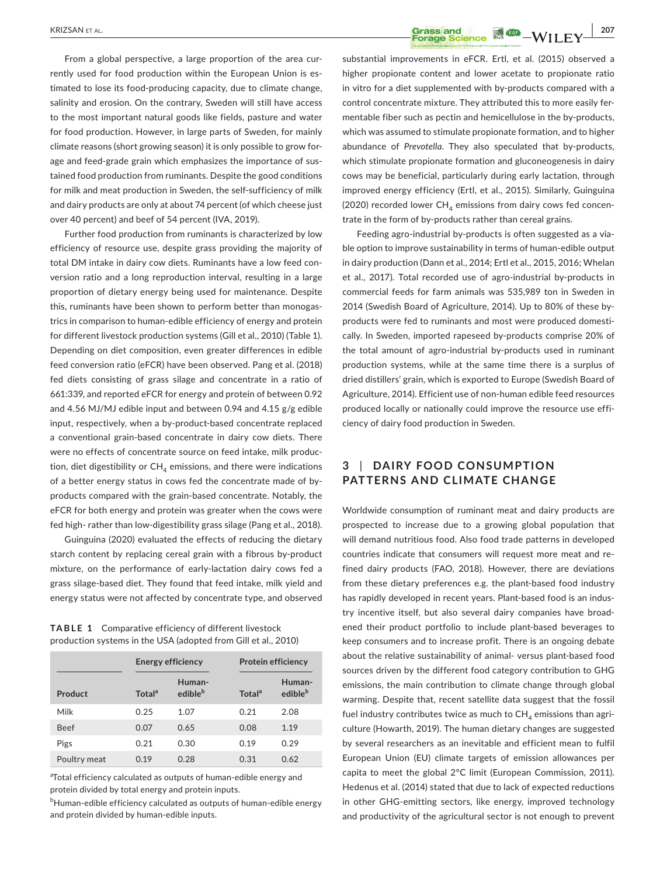From a global perspective, a large proportion of the area currently used for food production within the European Union is estimated to lose its food-producing capacity, due to climate change, salinity and erosion. On the contrary, Sweden will still have access to the most important natural goods like fields, pasture and water for food production. However, in large parts of Sweden, for mainly climate reasons (short growing season) it is only possible to grow forage and feed-grade grain which emphasizes the importance of sustained food production from ruminants. Despite the good conditions for milk and meat production in Sweden, the self-sufficiency of milk and dairy products are only at about 74 percent (of which cheese just over 40 percent) and beef of 54 percent (IVA, 2019).

Further food production from ruminants is characterized by low efficiency of resource use, despite grass providing the majority of total DM intake in dairy cow diets. Ruminants have a low feed conversion ratio and a long reproduction interval, resulting in a large proportion of dietary energy being used for maintenance. Despite this, ruminants have been shown to perform better than monogastrics in comparison to human-edible efficiency of energy and protein for different livestock production systems (Gill et al., 2010) (Table 1). Depending on diet composition, even greater differences in edible feed conversion ratio (eFCR) have been observed. Pang et al. (2018) fed diets consisting of grass silage and concentrate in a ratio of 661:339, and reported eFCR for energy and protein of between 0.92 and 4.56 MJ/MJ edible input and between 0.94 and 4.15 g/g edible input, respectively, when a by-product-based concentrate replaced a conventional grain-based concentrate in dairy cow diets. There were no effects of concentrate source on feed intake, milk production, diet digestibility or  $CH<sub>A</sub>$  emissions, and there were indications of a better energy status in cows fed the concentrate made of byproducts compared with the grain-based concentrate. Notably, the eFCR for both energy and protein was greater when the cows were fed high- rather than low-digestibility grass silage (Pang et al., 2018).

Guinguina (2020) evaluated the effects of reducing the dietary starch content by replacing cereal grain with a fibrous by-product mixture, on the performance of early-lactation dairy cows fed a grass silage-based diet. They found that feed intake, milk yield and energy status were not affected by concentrate type, and observed

**TABLE 1** Comparative efficiency of different livestock production systems in the USA (adopted from Gill et al., 2010)

|              | <b>Energy efficiency</b> |                               | <b>Protein efficiency</b> |                               |
|--------------|--------------------------|-------------------------------|---------------------------|-------------------------------|
| Product      | Total <sup>a</sup>       | Human-<br>edible <sup>b</sup> | Total <sup>a</sup>        | Human-<br>edible <sup>b</sup> |
| Milk         | 0.25                     | 1.07                          | 0.21                      | 2.08                          |
| <b>Beef</b>  | 0.07                     | 0.65                          | 0.08                      | 1.19                          |
| Pigs         | 0.21                     | 0.30                          | 0.19                      | 0.29                          |
| Poultry meat | 0.19                     | 0.28                          | 0.31                      | 0.62                          |

<sup>a</sup>Total efficiency calculated as outputs of human-edible energy and protein divided by total energy and protein inputs.

 $^{\rm b}$ Human-edible efficiency calculated as outputs of human-edible energy and protein divided by human-edible inputs.

**EXRIZSAN ET AL.** 207 substantial improvements in eFCR. Ertl, et al. (2015) observed a higher propionate content and lower acetate to propionate ratio

in vitro for a diet supplemented with by-products compared with a control concentrate mixture. They attributed this to more easily fermentable fiber such as pectin and hemicellulose in the by-products, which was assumed to stimulate propionate formation, and to higher abundance of *Prevotella*. They also speculated that by-products, which stimulate propionate formation and gluconeogenesis in dairy cows may be beneficial, particularly during early lactation, through improved energy efficiency (Ertl, et al., 2015). Similarly, Guinguina (2020) recorded lower  $CH<sub>A</sub>$  emissions from dairy cows fed concentrate in the form of by-products rather than cereal grains.

Feeding agro-industrial by-products is often suggested as a viable option to improve sustainability in terms of human-edible output in dairy production (Dann et al., 2014; Ertl et al., 2015, 2016; Whelan et al., 2017). Total recorded use of agro-industrial by-products in commercial feeds for farm animals was 535,989 ton in Sweden in 2014 (Swedish Board of Agriculture, 2014). Up to 80% of these byproducts were fed to ruminants and most were produced domestically. In Sweden, imported rapeseed by-products comprise 20% of the total amount of agro-industrial by-products used in ruminant production systems, while at the same time there is a surplus of dried distillers' grain, which is exported to Europe (Swedish Board of Agriculture, 2014). Efficient use of non-human edible feed resources produced locally or nationally could improve the resource use efficiency of dairy food production in Sweden.

# **3** | **DAIRY FOOD CONSUMPTION PATTERNS AND CLIMATE CHANGE**

Worldwide consumption of ruminant meat and dairy products are prospected to increase due to a growing global population that will demand nutritious food. Also food trade patterns in developed countries indicate that consumers will request more meat and refined dairy products (FAO, 2018). However, there are deviations from these dietary preferences e.g. the plant-based food industry has rapidly developed in recent years. Plant-based food is an industry incentive itself, but also several dairy companies have broadened their product portfolio to include plant-based beverages to keep consumers and to increase profit. There is an ongoing debate about the relative sustainability of animal- versus plant-based food sources driven by the different food category contribution to GHG emissions, the main contribution to climate change through global warming. Despite that, recent satellite data suggest that the fossil fuel industry contributes twice as much to  $CH<sub>4</sub>$  emissions than agriculture (Howarth, 2019). The human dietary changes are suggested by several researchers as an inevitable and efficient mean to fulfil European Union (EU) climate targets of emission allowances per capita to meet the global 2°C limit (European Commission, 2011). Hedenus et al. (2014) stated that due to lack of expected reductions in other GHG-emitting sectors, like energy, improved technology and productivity of the agricultural sector is not enough to prevent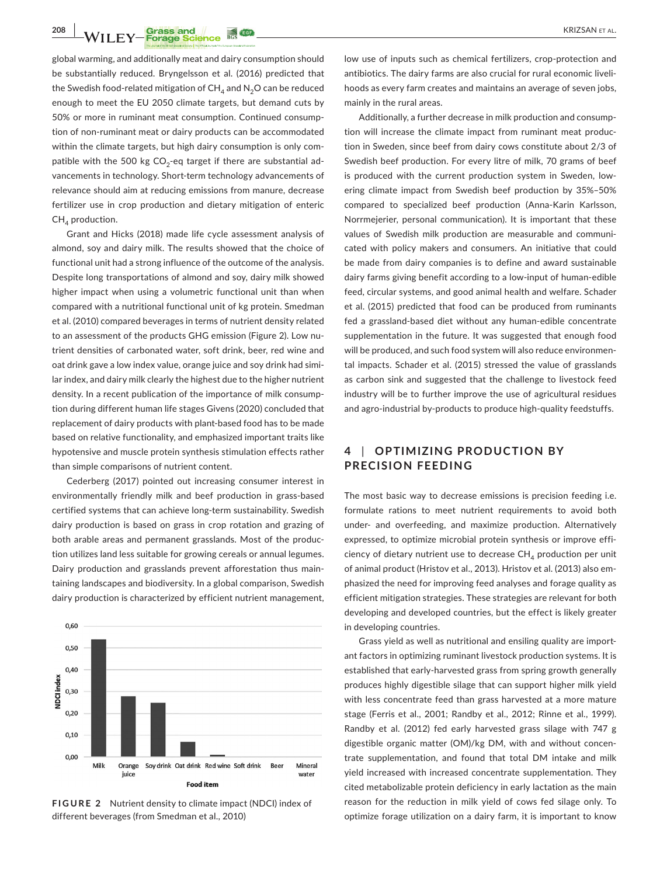**208 | WILEY-Forage Science #69 | CONSTRUCTER | CONSTRUCTED AT ALL CONSTRUCT ALL CONSTRUCT ALL** 

global warming, and additionally meat and dairy consumption should be substantially reduced. Bryngelsson et al. (2016) predicted that the Swedish food-related mitigation of  $CH<sub>4</sub>$  and N<sub>2</sub>O can be reduced enough to meet the EU 2050 climate targets, but demand cuts by 50% or more in ruminant meat consumption. Continued consumption of non-ruminant meat or dairy products can be accommodated within the climate targets, but high dairy consumption is only compatible with the 500 kg  $CO<sub>2</sub>$ -eq target if there are substantial advancements in technology. Short-term technology advancements of relevance should aim at reducing emissions from manure, decrease fertilizer use in crop production and dietary mitigation of enteric  $CH<sub>A</sub>$  production.

Grant and Hicks (2018) made life cycle assessment analysis of almond, soy and dairy milk. The results showed that the choice of functional unit had a strong influence of the outcome of the analysis. Despite long transportations of almond and soy, dairy milk showed higher impact when using a volumetric functional unit than when compared with a nutritional functional unit of kg protein. Smedman et al. (2010) compared beverages in terms of nutrient density related to an assessment of the products GHG emission (Figure 2). Low nutrient densities of carbonated water, soft drink, beer, red wine and oat drink gave a low index value, orange juice and soy drink had similar index, and dairy milk clearly the highest due to the higher nutrient density. In a recent publication of the importance of milk consumption during different human life stages Givens (2020) concluded that replacement of dairy products with plant-based food has to be made based on relative functionality, and emphasized important traits like hypotensive and muscle protein synthesis stimulation effects rather than simple comparisons of nutrient content.

Cederberg (2017) pointed out increasing consumer interest in environmentally friendly milk and beef production in grass-based certified systems that can achieve long-term sustainability. Swedish dairy production is based on grass in crop rotation and grazing of both arable areas and permanent grasslands. Most of the production utilizes land less suitable for growing cereals or annual legumes. Dairy production and grasslands prevent afforestation thus maintaining landscapes and biodiversity. In a global comparison, Swedish dairy production is characterized by efficient nutrient management,



**FIGURE 2** Nutrient density to climate impact (NDCI) index of different beverages (from Smedman et al., 2010)

low use of inputs such as chemical fertilizers, crop-protection and antibiotics. The dairy farms are also crucial for rural economic livelihoods as every farm creates and maintains an average of seven jobs, mainly in the rural areas.

Additionally, a further decrease in milk production and consumption will increase the climate impact from ruminant meat production in Sweden, since beef from dairy cows constitute about 2/3 of Swedish beef production. For every litre of milk, 70 grams of beef is produced with the current production system in Sweden, lowering climate impact from Swedish beef production by 35%–50% compared to specialized beef production (Anna-Karin Karlsson, Norrmejerier, personal communication). It is important that these values of Swedish milk production are measurable and communicated with policy makers and consumers. An initiative that could be made from dairy companies is to define and award sustainable dairy farms giving benefit according to a low-input of human-edible feed, circular systems, and good animal health and welfare. Schader et al. (2015) predicted that food can be produced from ruminants fed a grassland-based diet without any human-edible concentrate supplementation in the future. It was suggested that enough food will be produced, and such food system will also reduce environmental impacts. Schader et al. (2015) stressed the value of grasslands as carbon sink and suggested that the challenge to livestock feed industry will be to further improve the use of agricultural residues and agro-industrial by-products to produce high-quality feedstuffs.

## **4** | **OPTIMIZING PRODUC TION BY PRECISION FEEDING**

The most basic way to decrease emissions is precision feeding i.e. formulate rations to meet nutrient requirements to avoid both under- and overfeeding, and maximize production. Alternatively expressed, to optimize microbial protein synthesis or improve efficiency of dietary nutrient use to decrease  $CH<sub>A</sub>$  production per unit of animal product (Hristov et al., 2013). Hristov et al. (2013) also emphasized the need for improving feed analyses and forage quality as efficient mitigation strategies. These strategies are relevant for both developing and developed countries, but the effect is likely greater in developing countries.

Grass yield as well as nutritional and ensiling quality are important factors in optimizing ruminant livestock production systems. It is established that early-harvested grass from spring growth generally produces highly digestible silage that can support higher milk yield with less concentrate feed than grass harvested at a more mature stage (Ferris et al., 2001; Randby et al., 2012; Rinne et al., 1999). Randby et al. (2012) fed early harvested grass silage with 747 g digestible organic matter (OM)/kg DM, with and without concentrate supplementation, and found that total DM intake and milk yield increased with increased concentrate supplementation. They cited metabolizable protein deficiency in early lactation as the main reason for the reduction in milk yield of cows fed silage only. To optimize forage utilization on a dairy farm, it is important to know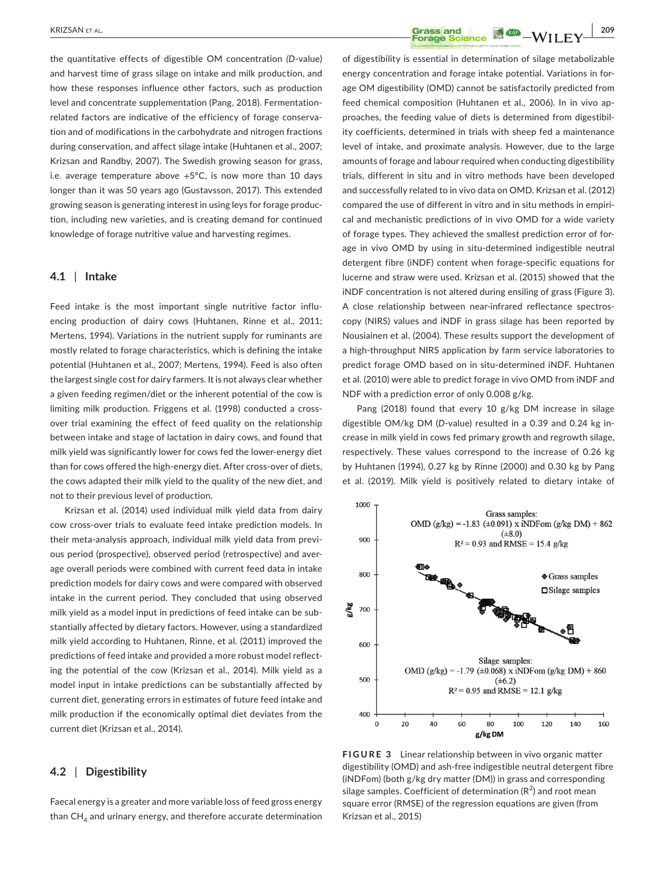the quantitative effects of digestible OM concentration *(D*-value) and harvest time of grass silage on intake and milk production, and how these responses influence other factors, such as production level and concentrate supplementation (Pang, 2018). Fermentationrelated factors are indicative of the efficiency of forage conservation and of modifications in the carbohydrate and nitrogen fractions during conservation, and affect silage intake (Huhtanen et al., 2007; Krizsan and Randby, 2007). The Swedish growing season for grass, i.e. average temperature above  $+5$ °C, is now more than 10 days longer than it was 50 years ago (Gustavsson, 2017). This extended growing season is generating interest in using leys for forage production, including new varieties, and is creating demand for continued knowledge of forage nutritive value and harvesting regimes.

#### **4.1** | **Intake**

Feed intake is the most important single nutritive factor influencing production of dairy cows (Huhtanen, Rinne et al., 2011; Mertens, 1994). Variations in the nutrient supply for ruminants are mostly related to forage characteristics, which is defining the intake potential (Huhtanen et al., 2007; Mertens, 1994). Feed is also often the largest single cost for dairy farmers. It is not always clear whether a given feeding regimen/diet or the inherent potential of the cow is limiting milk production. Friggens et al. (1998) conducted a crossover trial examining the effect of feed quality on the relationship between intake and stage of lactation in dairy cows, and found that milk yield was significantly lower for cows fed the lower-energy diet than for cows offered the high-energy diet. After cross-over of diets, the cows adapted their milk yield to the quality of the new diet, and not to their previous level of production.

Krizsan et al. (2014) used individual milk yield data from dairy cow cross-over trials to evaluate feed intake prediction models. In their meta-analysis approach, individual milk yield data from previous period (prospective), observed period (retrospective) and average overall periods were combined with current feed data in intake prediction models for dairy cows and were compared with observed intake in the current period. They concluded that using observed milk yield as a model input in predictions of feed intake can be substantially affected by dietary factors. However, using a standardized milk yield according to Huhtanen, Rinne, et al. (2011) improved the predictions of feed intake and provided a more robust model reflecting the potential of the cow (Krizsan et al., 2014). Milk yield as a model input in intake predictions can be substantially affected by current diet, generating errors in estimates of future feed intake and milk production if the economically optimal diet deviates from the current diet (Krizsan et al., 2014).

#### **4.2** | **Digestibility**

Faecal energy is a greater and more variable loss of feed gross energy than  $CH<sub>4</sub>$  and urinary energy, and therefore accurate determination

**EXAMPLE AND RESOLUTE A LACK CONSTRUCTED ASSESSMENT A LACK CONSTRUCTED AND RESOLUTE A LACK CONSTRUCTED AND RESOLUTE A LACK CONSTRUCTED AND RESOLUTE A LACK CONSTRUCTED AND RESOLUTED A LACK CONSTRUCTED A LACK CONSTRUCTED A L** 

of digestibility is essential in determination of silage metabolizable energy concentration and forage intake potential. Variations in forage OM digestibility (OMD) cannot be satisfactorily predicted from feed chemical composition (Huhtanen et al., 2006). In in vivo approaches, the feeding value of diets is determined from digestibility coefficients, determined in trials with sheep fed a maintenance level of intake, and proximate analysis. However, due to the large amounts of forage and labour required when conducting digestibility trials, different in situ and in vitro methods have been developed and successfully related to in vivo data on OMD. Krizsan et al. (2012) compared the use of different in vitro and in situ methods in empirical and mechanistic predictions of in vivo OMD for a wide variety of forage types. They achieved the smallest prediction error of forage in vivo OMD by using in situ-determined indigestible neutral detergent fibre (iNDF) content when forage-specific equations for lucerne and straw were used. Krizsan et al. (2015) showed that the iNDF concentration is not altered during ensiling of grass (Figure 3). A close relationship between near-infrared reflectance spectroscopy (NIRS) values and iNDF in grass silage has been reported by Nousiainen et al. (2004). These results support the development of a high-throughput NIRS application by farm service laboratories to predict forage OMD based on in situ-determined iNDF. Huhtanen et al. (2010) were able to predict forage in vivo OMD from iNDF and NDF with a prediction error of only 0.008 g/kg.

Pang (2018) found that every 10 g/kg DM increase in silage digestible OM/kg DM (*D*-value) resulted in a 0.39 and 0.24 kg increase in milk yield in cows fed primary growth and regrowth silage, respectively. These values correspond to the increase of 0.26 kg by Huhtanen (1994), 0.27 kg by Rinne (2000) and 0.30 kg by Pang et al. (2019). Milk yield is positively related to dietary intake of



**FIGURE 3** Linear relationship between in vivo organic matter digestibility (OMD) and ash-free indigestible neutral detergent fibre (iNDFom) (both g/kg dry matter (DM)) in grass and corresponding silage samples. Coefficient of determination  $(R^2)$  and root mean square error (RMSE) of the regression equations are given (from Krizsan et al., 2015)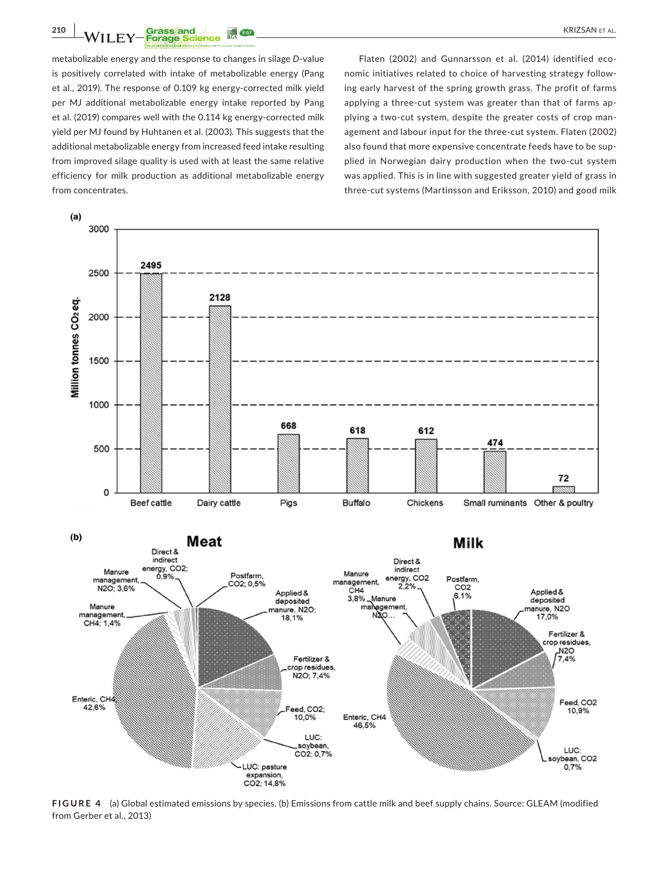**210 • WILEY-Forage Science 16. 459 • CONSUMING THE CONSUMING THE CONSUMING THE CONSUMING THE CONSUMING THE CONSUMING THE CONSUMING THE CONSUMING THE CONSUMING THE CONSUMING THE CONSUMING THE CONSUMING THE CONSUMING THE CO** 

metabolizable energy and the response to changes in silage *D*-value is positively correlated with intake of metabolizable energy (Pang et al., 2019). The response of 0.109 kg energy-corrected milk yield per MJ additional metabolizable energy intake reported by Pang et al. (2019) compares well with the 0.114 kg energy-corrected milk yield per MJ found by Huhtanen et al. (2003). This suggests that the additional metabolizable energy from increased feed intake resulting from improved silage quality is used with at least the same relative efficiency for milk production as additional metabolizable energy from concentrates.

Flaten (2002) and Gunnarsson et al. (2014) identified economic initiatives related to choice of harvesting strategy following early harvest of the spring growth grass. The profit of farms applying a three-cut system was greater than that of farms applying a two-cut system, despite the greater costs of crop management and labour input for the three-cut system. Flaten (2002) also found that more expensive concentrate feeds have to be supplied in Norwegian dairy production when the two-cut system was applied. This is in line with suggested greater yield of grass in three-cut systems (Martinsson and Eriksson, 2010) and good milk



**FIGURE 4** (a) Global estimated emissions by species. (b) Emissions from cattle milk and beef supply chains. Source: GLEAM (modified from Gerber et al., 2013)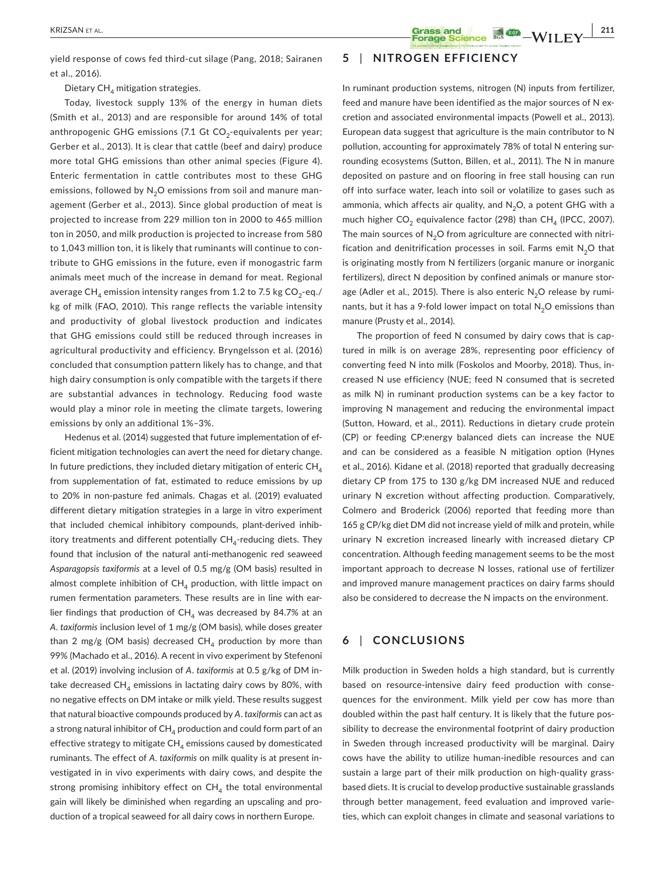yield response of cows fed third-cut silage (Pang, 2018; Sairanen et al., 2016).

Dietary  $CH<sub>A</sub>$  mitigation strategies.

Today, livestock supply 13% of the energy in human diets (Smith et al., 2013) and are responsible for around 14% of total anthropogenic GHG emissions (7.1 Gt  $CO_2$ -equivalents per year; Gerber et al., 2013). It is clear that cattle (beef and dairy) produce more total GHG emissions than other animal species (Figure 4). Enteric fermentation in cattle contributes most to these GHG emissions, followed by  $N<sub>2</sub>O$  emissions from soil and manure management (Gerber et al., 2013). Since global production of meat is projected to increase from 229 million ton in 2000 to 465 million ton in 2050, and milk production is projected to increase from 580 to 1,043 million ton, it is likely that ruminants will continue to contribute to GHG emissions in the future, even if monogastric farm animals meet much of the increase in demand for meat. Regional average CH<sub>4</sub> emission intensity ranges from 1.2 to 7.5 kg CO<sub>2</sub>-eq./ kg of milk (FAO, 2010). This range reflects the variable intensity and productivity of global livestock production and indicates that GHG emissions could still be reduced through increases in agricultural productivity and efficiency. Bryngelsson et al. (2016) concluded that consumption pattern likely has to change, and that high dairy consumption is only compatible with the targets if there are substantial advances in technology. Reducing food waste would play a minor role in meeting the climate targets, lowering emissions by only an additional 1%–3%.

Hedenus et al. (2014) suggested that future implementation of efficient mitigation technologies can avert the need for dietary change. In future predictions, they included dietary mitigation of enteric  $CH<sub>A</sub>$ from supplementation of fat, estimated to reduce emissions by up to 20% in non-pasture fed animals. Chagas et al. (2019) evaluated different dietary mitigation strategies in a large in vitro experiment that included chemical inhibitory compounds, plant-derived inhibitory treatments and different potentially  $CH<sub>4</sub>$ -reducing diets. They found that inclusion of the natural anti-methanogenic red seaweed *Asparagopsis taxiformis* at a level of 0.5 mg/g (OM basis) resulted in almost complete inhibition of  $CH<sub>4</sub>$  production, with little impact on rumen fermentation parameters. These results are in line with earlier findings that production of  $CH<sub>4</sub>$  was decreased by 84.7% at an *A. taxiformis* inclusion level of 1 mg/g (OM basis), while doses greater than 2 mg/g (OM basis) decreased  $CH<sub>A</sub>$  production by more than 99% (Machado et al., 2016). A recent in vivo experiment by Stefenoni et al. (2019) involving inclusion of *A*. *taxiformis* at 0.5 g/kg of DM intake decreased  $CH_4$  emissions in lactating dairy cows by 80%, with no negative effects on DM intake or milk yield. These results suggest that natural bioactive compounds produced by *A*. *taxiformis* can act as a strong natural inhibitor of  $CH<sub>A</sub>$  production and could form part of an effective strategy to mitigate  $CH<sub>4</sub>$  emissions caused by domesticated ruminants. The effect of *A. taxiformis* on milk quality is at present investigated in in vivo experiments with dairy cows, and despite the strong promising inhibitory effect on  $CH<sub>4</sub>$  the total environmental gain will likely be diminished when regarding an upscaling and production of a tropical seaweed for all dairy cows in northern Europe.

## **5** | **NITROGEN EFFICIENCY**

In ruminant production systems, nitrogen (N) inputs from fertilizer, feed and manure have been identified as the major sources of N excretion and associated environmental impacts (Powell et al., 2013). European data suggest that agriculture is the main contributor to N pollution, accounting for approximately 78% of total N entering surrounding ecosystems (Sutton, Billen, et al., 2011). The N in manure deposited on pasture and on flooring in free stall housing can run off into surface water, leach into soil or volatilize to gases such as ammonia, which affects air quality, and  $N_2O$ , a potent GHG with a much higher  $CO<sub>2</sub>$  equivalence factor (298) than  $CH<sub>4</sub>$  (IPCC, 2007). The main sources of  $N<sub>2</sub>O$  from agriculture are connected with nitrification and denitrification processes in soil. Farms emit  $N<sub>2</sub>O$  that is originating mostly from N fertilizers (organic manure or inorganic fertilizers), direct N deposition by confined animals or manure storage (Adler et al., 2015). There is also enteric  $N<sub>2</sub>O$  release by ruminants, but it has a 9-fold lower impact on total  $N<sub>2</sub>O$  emissions than manure (Prusty et al., 2014).

The proportion of feed N consumed by dairy cows that is captured in milk is on average 28%, representing poor efficiency of converting feed N into milk (Foskolos and Moorby, 2018). Thus, increased N use efficiency (NUE; feed N consumed that is secreted as milk N) in ruminant production systems can be a key factor to improving N management and reducing the environmental impact (Sutton, Howard, et al., 2011). Reductions in dietary crude protein (CP) or feeding CP:energy balanced diets can increase the NUE and can be considered as a feasible N mitigation option (Hynes et al., 2016). Kidane et al. (2018) reported that gradually decreasing dietary CP from 175 to 130 g/kg DM increased NUE and reduced urinary N excretion without affecting production. Comparatively, Colmero and Broderick (2006) reported that feeding more than 165 g CP/kg diet DM did not increase yield of milk and protein, while urinary N excretion increased linearly with increased dietary CP concentration. Although feeding management seems to be the most important approach to decrease N losses, rational use of fertilizer and improved manure management practices on dairy farms should also be considered to decrease the N impacts on the environment.

## **6** | **CONCLUSIONS**

Milk production in Sweden holds a high standard, but is currently based on resource-intensive dairy feed production with consequences for the environment. Milk yield per cow has more than doubled within the past half century. It is likely that the future possibility to decrease the environmental footprint of dairy production in Sweden through increased productivity will be marginal. Dairy cows have the ability to utilize human-inedible resources and can sustain a large part of their milk production on high-quality grassbased diets. It is crucial to develop productive sustainable grasslands through better management, feed evaluation and improved varieties, which can exploit changes in climate and seasonal variations to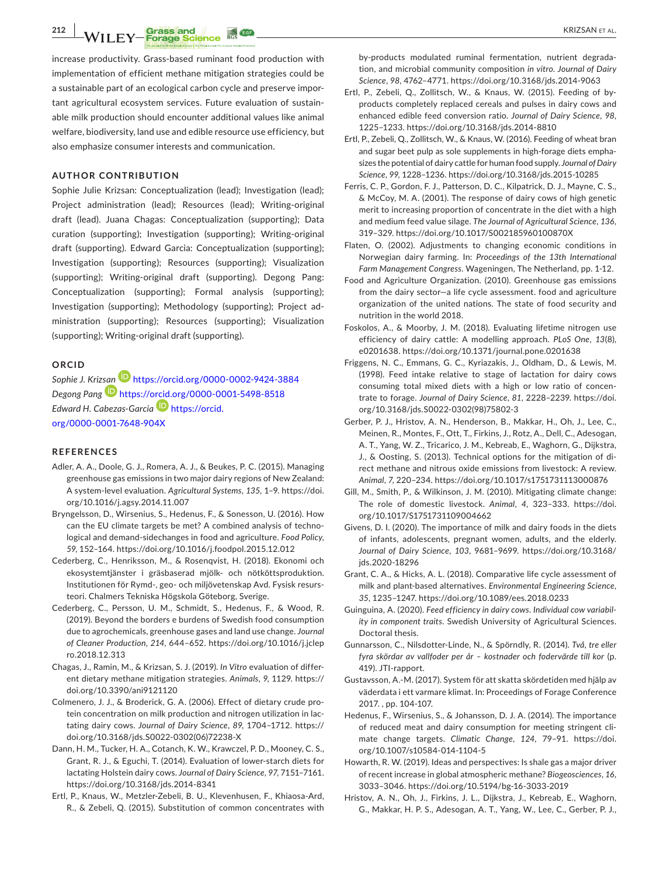**212 |**  KRIZSAN et al.

increase productivity. Grass-based ruminant food production with implementation of efficient methane mitigation strategies could be a sustainable part of an ecological carbon cycle and preserve important agricultural ecosystem services. Future evaluation of sustainable milk production should encounter additional values like animal welfare, biodiversity, land use and edible resource use efficiency, but also emphasize consumer interests and communication.

## **AUTHOR CONTRIBUTION**

Sophie Julie Krizsan: Conceptualization (lead); Investigation (lead); Project administration (lead); Resources (lead); Writing-original draft (lead). Juana Chagas: Conceptualization (supporting); Data curation (supporting); Investigation (supporting); Writing-original draft (supporting). Edward Garcia: Conceptualization (supporting); Investigation (supporting); Resources (supporting); Visualization (supporting); Writing-original draft (supporting). Degong Pang: Conceptualization (supporting); Formal analysis (supporting); Investigation (supporting); Methodology (supporting); Project administration (supporting); Resources (supporting); Visualization (supporting); Writing-original draft (supporting).

## **ORCID**

*Sophie J. Kri[zsan](https://orcid.org/0000-0001-5498-8518)* <https://orcid.org/0000-0002-9424-3884> *Degong Pang* <https://orcid.org/0000-0001-5498-8518> *Edward H. Cabezas-Garcia* [https://orcid.](https://orcid.org/0000-0001-7648-904X) [org/0000-0001-7648-904X](https://orcid.org/0000-0001-7648-904X)

#### **REFERENCES**

- Adler, A. A., Doole, G. J., Romera, A. J., & Beukes, P. C. (2015). Managing greenhouse gas emissions in two major dairy regions of New Zealand: A system-level evaluation. *Agricultural Systems*, *135*, 1–9. [https://doi.](https://doi.org/10.1016/j.agsy.2014.11.007) [org/10.1016/j.agsy.2014.11.007](https://doi.org/10.1016/j.agsy.2014.11.007)
- Bryngelsson, D., Wirsenius, S., Hedenus, F., & Sonesson, U. (2016). How can the EU climate targets be met? A combined analysis of technological and demand-sidechanges in food and agriculture. *Food Policy*, *59*, 152–164.<https://doi.org/10.1016/j.foodpol.2015.12.012>
- Cederberg, C., Henriksson, M., & Rosenqvist, H. (2018). Ekonomi och ekosystemtjänster i gräsbaserad mjölk- och nötköttsproduktion. Institutionen för Rymd-, geo- och miljövetenskap Avd. Fysisk resursteori. Chalmers Tekniska Högskola Göteborg, Sverige.
- Cederberg, C., Persson, U. M., Schmidt, S., Hedenus, F., & Wood, R. (2019). Beyond the borders e burdens of Swedish food consumption due to agrochemicals, greenhouse gases and land use change. *Journal of Cleaner Production*, *214*, 644–652. [https://doi.org/10.1016/j.jclep](https://doi.org/10.1016/j.jclepro.2018.12.313) [ro.2018.12.313](https://doi.org/10.1016/j.jclepro.2018.12.313)
- Chagas, J., Ramin, M., & Krizsan, S. J. (2019). *In Vitro* evaluation of different dietary methane mitigation strategies. *Animals*, *9*, 1129. [https://](https://doi.org/10.3390/ani9121120) [doi.org/10.3390/ani9121120](https://doi.org/10.3390/ani9121120)
- Colmenero, J. J., & Broderick, G. A. (2006). Effect of dietary crude protein concentration on milk production and nitrogen utilization in lactating dairy cows. *Journal of Dairy Science*, *89*, 1704–1712. [https://](https://doi.org/10.3168/jds.S0022-0302(06)72238-X) [doi.org/10.3168/jds.S0022-0302\(06\)72238-X](https://doi.org/10.3168/jds.S0022-0302(06)72238-X)
- Dann, H. M., Tucker, H. A., Cotanch, K. W., Krawczel, P. D., Mooney, C. S., Grant, R. J., & Eguchi, T. (2014). Evaluation of lower-starch diets for lactating Holstein dairy cows. *Journal of Dairy Science*, *97*, 7151–7161. <https://doi.org/10.3168/jds.2014-8341>
- Ertl, P., Knaus, W., Metzler-Zebeli, B. U., Klevenhusen, F., Khiaosa-Ard, R., & Zebeli, Q. (2015). Substitution of common concentrates with

by-products modulated ruminal fermentation, nutrient degradation, and microbial community composition *in vitro*. *Journal of Dairy Science*, *98*, 4762–4771. <https://doi.org/10.3168/jds.2014-9063>

- Ertl, P., Zebeli, Q., Zollitsch, W., & Knaus, W. (2015). Feeding of byproducts completely replaced cereals and pulses in dairy cows and enhanced edible feed conversion ratio. *Journal of Dairy Science*, *98*, 1225–1233.<https://doi.org/10.3168/jds.2014-8810>
- Ertl, P., Zebeli, Q., Zollitsch, W., & Knaus, W. (2016). Feeding of wheat bran and sugar beet pulp as sole supplements in high-forage diets emphasizes the potential of dairy cattle for human food supply. *Journal of Dairy Science*, *99*, 1228–1236. <https://doi.org/10.3168/jds.2015-10285>
- Ferris, C. P., Gordon, F. J., Patterson, D. C., Kilpatrick, D. J., Mayne, C. S., & McCoy, M. A. (2001). The response of dairy cows of high genetic merit to increasing proportion of concentrate in the diet with a high and medium feed value silage. *The Journal of Agricultural Science*, *136*, 319–329. <https://doi.org/10.1017/S002185960100870X>
- Flaten, O. (2002). Adjustments to changing economic conditions in Norwegian dairy farming. In: *Proceedings of the 13th International Farm Management Congress*. Wageningen, The Netherland, pp. 1-12.
- Food and Agriculture Organization. (2010). Greenhouse gas emissions from the dairy sector—a life cycle assessment. food and agriculture organization of the united nations. The state of food security and nutrition in the world 2018.
- Foskolos, A., & Moorby, J. M. (2018). Evaluating lifetime nitrogen use efficiency of dairy cattle: A modelling approach. *PLoS One*, *13*(8), e0201638. <https://doi.org/10.1371/journal.pone.0201638>
- Friggens, N. C., Emmans, G. C., Kyriazakis, J., Oldham, D., & Lewis, M. (1998). Feed intake relative to stage of lactation for dairy cows consuming total mixed diets with a high or low ratio of concentrate to forage. *Journal of Dairy Science*, *81*, 2228–2239. [https://doi.](https://doi.org/10.3168/jds.S0022-0302(98)75802-3) [org/10.3168/jds.S0022-0302\(98\)75802-3](https://doi.org/10.3168/jds.S0022-0302(98)75802-3)
- Gerber, P. J., Hristov, A. N., Henderson, B., Makkar, H., Oh, J., Lee, C., Meinen, R., Montes, F., Ott, T., Firkins, J., Rotz, A., Dell, C., Adesogan, A. T., Yang, W. Z., Tricarico, J. M., Kebreab, E., Waghorn, G., Dijkstra, J., & Oosting, S. (2013). Technical options for the mitigation of direct methane and nitrous oxide emissions from livestock: A review. *Animal*, *7*, 220–234.<https://doi.org/10.1017/s1751731113000876>
- Gill, M., Smith, P., & Wilkinson, J. M. (2010). Mitigating climate change: The role of domestic livestock. *Animal*, *4*, 323–333. [https://doi.](https://doi.org/10.1017/S1751731109004662) [org/10.1017/S1751731109004662](https://doi.org/10.1017/S1751731109004662)
- Givens, D. I. (2020). The importance of milk and dairy foods in the diets of infants, adolescents, pregnant women, adults, and the elderly. *Journal of Dairy Science*, *103*, 9681–9699. [https://doi.org/10.3168/](https://doi.org/10.3168/jds.2020-18296) [jds.2020-18296](https://doi.org/10.3168/jds.2020-18296)
- Grant, C. A., & Hicks, A. L. (2018). Comparative life cycle assessment of milk and plant-based alternatives. *Environmental Engineering Science*, *35*, 1235–1247.<https://doi.org/10.1089/ees.2018.0233>
- Guinguina, A. (2020). *Feed efficiency in dairy cows. Individual cow variability in component traits*. Swedish University of Agricultural Sciences. Doctoral thesis.
- Gunnarsson, C., Nilsdotter-Linde, N., & Spörndly, R. (2014). *Två, tre eller fyra skördar av vallfoder per år – kostnader och fodervärde till kor* (p. 419). JTI-rapport.
- Gustavsson, A.-M. (2017). System för att skatta skördetiden med hjälp av väderdata i ett varmare klimat. In: Proceedings of Forage Conference 2017. , pp. 104-107.
- Hedenus, F., Wirsenius, S., & Johansson, D. J. A. (2014). The importance of reduced meat and dairy consumption for meeting stringent climate change targets. *Climatic Change*, *124*, 79–91. [https://doi.](https://doi.org/10.1007/s10584-014-1104-5) [org/10.1007/s10584-014-1104-5](https://doi.org/10.1007/s10584-014-1104-5)
- Howarth, R. W. (2019). Ideas and perspectives: Is shale gas a major driver of recent increase in global atmospheric methane? *Biogeosciences*, *16*, 3033–3046. <https://doi.org/10.5194/bg-16-3033-2019>
- Hristov, A. N., Oh, J., Firkins, J. L., Dijkstra, J., Kebreab, E., Waghorn, G., Makkar, H. P. S., Adesogan, A. T., Yang, W., Lee, C., Gerber, P. J.,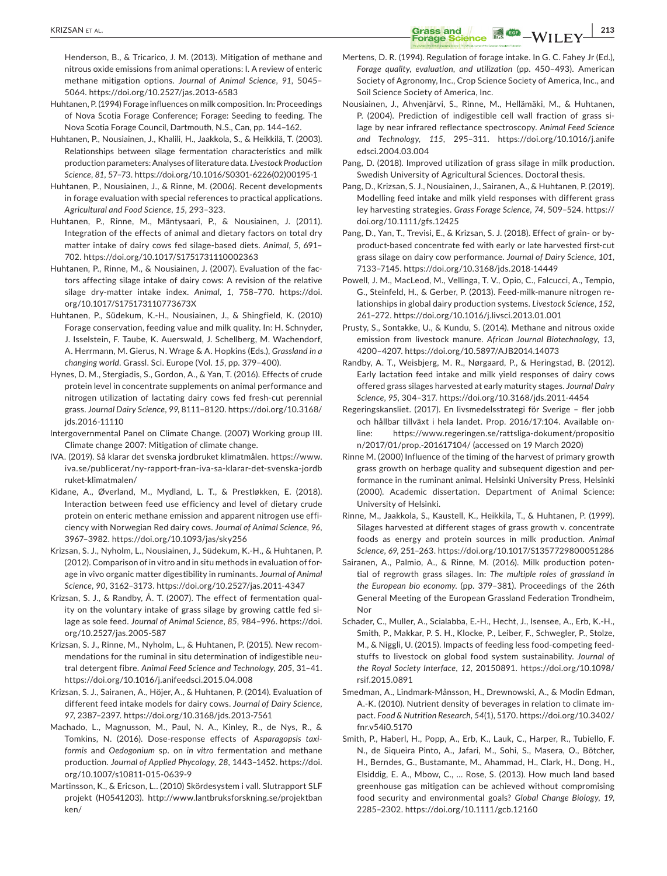**EXIZSAN ET AL.** *CRASS and CRASS and CRASS and* **<b>***CRASS and CRASS and CRASS and CRASS and CRASS and CRASS and CRASS and CRASS and CRASS and CRASS and CRASS and CRASS an* 

Henderson, B., & Tricarico, J. M. (2013). Mitigation of methane and nitrous oxide emissions from animal operations: I. A review of enteric methane mitigation options. *Journal of Animal Science*, *91*, 5045– 5064. <https://doi.org/10.2527/jas.2013-6583>

- Huhtanen, P. (1994) Forage influences on milk composition. In: Proceedings of Nova Scotia Forage Conference; Forage: Seeding to feeding. The Nova Scotia Forage Council, Dartmouth, N.S., Can, pp. 144–162.
- Huhtanen, P., Nousiainen, J., Khalili, H., Jaakkola, S., & Heikkilä, T. (2003). Relationships between silage fermentation characteristics and milk production parameters: Analyses of literature data. *Livestock Production Science*, *81*, 57–73. [https://doi.org/10.1016/S0301-6226\(02\)00195-1](https://doi.org/10.1016/S0301-6226(02)00195-1)
- Huhtanen, P., Nousiainen, J., & Rinne, M. (2006). Recent developments in forage evaluation with special references to practical applications. *Agricultural and Food Science*, *15*, 293–323.
- Huhtanen, P., Rinne, M., Mäntysaari, P., & Nousiainen, J. (2011). Integration of the effects of animal and dietary factors on total dry matter intake of dairy cows fed silage-based diets. *Animal*, *5*, 691– 702. <https://doi.org/10.1017/S1751731110002363>
- Huhtanen, P., Rinne, M., & Nousiainen, J. (2007). Evaluation of the factors affecting silage intake of dairy cows: A revision of the relative silage dry-matter intake index. *Animal*, *1*, 758–770. [https://doi.](https://doi.org/10.1017/S175173110773673X) [org/10.1017/S175173110773673X](https://doi.org/10.1017/S175173110773673X)
- Huhtanen, P., Südekum, K.-H., Nousiainen, J., & Shingfield, K. (2010) Forage conservation, feeding value and milk quality. In: H. Schnyder, J. Isselstein, F. Taube, K. Auerswald, J. Schellberg, M. Wachendorf, A. Herrmann, M. Gierus, N. Wrage & A. Hopkins (Eds.), *Grassland in a changing world*. Grassl. Sci. Europe (Vol. *15*, pp. 379–400).
- Hynes, D. M., Stergiadis, S., Gordon, A., & Yan, T. (2016). Effects of crude protein level in concentrate supplements on animal performance and nitrogen utilization of lactating dairy cows fed fresh-cut perennial grass. *Journal Dairy Science*, *99*, 8111–8120. [https://doi.org/10.3168/](https://doi.org/10.3168/jds.2016-11110) [jds.2016-11110](https://doi.org/10.3168/jds.2016-11110)
- Intergovernmental Panel on Climate Change. (2007) Working group III. Climate change 2007: Mitigation of climate change.
- IVA. (2019). Så klarar det svenska jordbruket klimatmålen. [https://www.](https://www.iva.se/publicerat/ny-rapport-fran-iva-sa-klarar-det-svenska-jordbruket-klimatmalen/) [iva.se/publicerat/ny-rapport-fran-iva-sa-klarar-det-svenska-jordb](https://www.iva.se/publicerat/ny-rapport-fran-iva-sa-klarar-det-svenska-jordbruket-klimatmalen/) [ruket-klimatmalen/](https://www.iva.se/publicerat/ny-rapport-fran-iva-sa-klarar-det-svenska-jordbruket-klimatmalen/)
- Kidane, A., Øverland, M., Mydland, L. T., & Prestløkken, E. (2018). Interaction between feed use efficiency and level of dietary crude protein on enteric methane emission and apparent nitrogen use efficiency with Norwegian Red dairy cows. *Journal of Animal Science*, *96*, 3967–3982.<https://doi.org/10.1093/jas/sky256>
- Krizsan, S. J., Nyholm, L., Nousiainen, J., Südekum, K.-H., & Huhtanen, P. (2012). Comparison of in vitro and in situ methods in evaluation of forage in vivo organic matter digestibility in ruminants. *Journal of Animal Science*, *90*, 3162–3173.<https://doi.org/10.2527/jas.2011-4347>
- Krizsan, S. J., & Randby, Å. T. (2007). The effect of fermentation quality on the voluntary intake of grass silage by growing cattle fed silage as sole feed. *Journal of Animal Science*, *85*, 984–996. [https://doi.](https://doi.org/10.2527/jas.2005-587) [org/10.2527/jas.2005-587](https://doi.org/10.2527/jas.2005-587)
- Krizsan, S. J., Rinne, M., Nyholm, L., & Huhtanen, P. (2015). New recommendations for the ruminal in situ determination of indigestible neutral detergent fibre. *Animal Feed Science and Technology*, *205*, 31–41. <https://doi.org/10.1016/j.anifeedsci.2015.04.008>
- Krizsan, S. J., Sairanen, A., Höjer, A., & Huhtanen, P. (2014). Evaluation of different feed intake models for dairy cows. *Journal of Dairy Science*, *97*, 2387–2397. <https://doi.org/10.3168/jds.2013-7561>
- Machado, L., Magnusson, M., Paul, N. A., Kinley, R., de Nys, R., & Tomkins, N. (2016). Dose-response effects of *Asparagopsis taxiformis* and *Oedogonium* sp. on *in vitro* fermentation and methane production. *Journal of Applied Phycology*, *28*, 1443–1452. [https://doi.](https://doi.org/10.1007/s10811-015-0639-9) [org/10.1007/s10811-015-0639-9](https://doi.org/10.1007/s10811-015-0639-9)
- Martinsson, K., & Ericson, L.. (2010) Skördesystem i vall. Slutrapport SLF projekt (H0541203). [http://www.lantbruksforskning.se/projektban](http://www.lantbruksforskning.se/projektbanken/) [ken/](http://www.lantbruksforskning.se/projektbanken/)
- Mertens, D. R. (1994). Regulation of forage intake. In G. C. Fahey Jr (Ed.), *Forage quality, evaluation, and utilization* (pp. 450–493). American Society of Agronomy, Inc., Crop Science Society of America, Inc., and Soil Science Society of America, Inc.
- Nousiainen, J., Ahvenjärvi, S., Rinne, M., Hellämäki, M., & Huhtanen, P. (2004). Prediction of indigestible cell wall fraction of grass silage by near infrared reflectance spectroscopy. *Animal Feed Science and Technology*, *115*, 295–311. [https://doi.org/10.1016/j.anife](https://doi.org/10.1016/j.anifeedsci.2004.03.004) [edsci.2004.03.004](https://doi.org/10.1016/j.anifeedsci.2004.03.004)
- Pang, D. (2018). Improved utilization of grass silage in milk production. Swedish University of Agricultural Sciences. Doctoral thesis.
- Pang, D., Krizsan, S. J., Nousiainen, J., Sairanen, A., & Huhtanen, P. (2019). Modelling feed intake and milk yield responses with different grass ley harvesting strategies. *Grass Forage Science*, *74*, 509–524. [https://](https://doi.org/10.1111/gfs.12425) [doi.org/10.1111/gfs.12425](https://doi.org/10.1111/gfs.12425)
- Pang, D., Yan, T., Trevisi, E., & Krizsan, S. J. (2018). Effect of grain- or byproduct-based concentrate fed with early or late harvested first-cut grass silage on dairy cow performance. *Journal of Dairy Science*, *101*, 7133–7145. <https://doi.org/10.3168/jds.2018-14449>
- Powell, J. M., MacLeod, M., Vellinga, T. V., Opio, C., Falcucci, A., Tempio, G., Steinfeld, H., & Gerber, P. (2013). Feed-milk-manure nitrogen relationships in global dairy production systems. *Livestock Science*, *152*, 261–272. <https://doi.org/10.1016/j.livsci.2013.01.001>
- Prusty, S., Sontakke, U., & Kundu, S. (2014). Methane and nitrous oxide emission from livestock manure. *African Journal Biotechnology*, *13*, 4200–4207. <https://doi.org/10.5897/AJB2014.14073>
- Randby, A. T., Weisbjerg, M. R., Nørgaard, P., & Heringstad, B. (2012). Early lactation feed intake and milk yield responses of dairy cows offered grass silages harvested at early maturity stages. *Journal Dairy Science*, *95*, 304–317.<https://doi.org/10.3168/jds.2011-4454>
- Regeringskansliet. (2017). En livsmedelsstrategi för Sverige fler jobb och hållbar tillväxt i hela landet. Prop. 2016/17:104. Available online: [https://www.regeringen.se/rattsliga-dokument/propositio](https://www.regeringen.se/rattsliga-dokument/proposition/2017/01/prop.-201617104/) [n/2017/01/prop.-201617104/](https://www.regeringen.se/rattsliga-dokument/proposition/2017/01/prop.-201617104/) (accessed on 19 March 2020)
- Rinne M. (2000) Influence of the timing of the harvest of primary growth grass growth on herbage quality and subsequent digestion and performance in the ruminant animal. Helsinki University Press, Helsinki (2000). Academic dissertation. Department of Animal Science: University of Helsinki.
- Rinne, M., Jaakkola, S., Kaustell, K., Heikkila, T., & Huhtanen, P. (1999). Silages harvested at different stages of grass growth v. concentrate foods as energy and protein sources in milk production. *Animal Science*, *69*, 251–263.<https://doi.org/10.1017/S1357729800051286>
- Sairanen, A., Palmio, A., & Rinne, M. (2016). Milk production potential of regrowth grass silages. In: *The multiple roles of grassland in the European bio economy*. (pp. 379–381). Proceedings of the 26th General Meeting of the European Grassland Federation Trondheim, Nor
- Schader, C., Muller, A., Scialabba, E.-H., Hecht, J., Isensee, A., Erb, K.-H., Smith, P., Makkar, P. S. H., Klocke, P., Leiber, F., Schwegler, P., Stolze, M., & Niggli, U. (2015). Impacts of feeding less food-competing feedstuffs to livestock on global food system sustainability. *Journal of the Royal Society Interface*, *12*, 20150891. [https://doi.org/10.1098/](https://doi.org/10.1098/rsif.2015.0891) [rsif.2015.0891](https://doi.org/10.1098/rsif.2015.0891)
- Smedman, A., Lindmark-Månsson, H., Drewnowski, A., & Modin Edman, A.-K. (2010). Nutrient density of beverages in relation to climate impact. *Food & Nutrition Research*, *54*(1), 5170. [https://doi.org/10.3402/](https://doi.org/10.3402/fnr.v54i0.5170) [fnr.v54i0.5170](https://doi.org/10.3402/fnr.v54i0.5170)
- Smith, P., Haberl, H., Popp, A., Erb, K., Lauk, C., Harper, R., Tubiello, F. N., de Siqueira Pinto, A., Jafari, M., Sohi, S., Masera, O., Bötcher, H., Berndes, G., Bustamante, M., Ahammad, H., Clark, H., Dong, H., Elsiddig, E. A., Mbow, C., … Rose, S. (2013). How much land based greenhouse gas mitigation can be achieved without compromising food security and environmental goals? *Global Change Biology*, *19*, 2285–2302. <https://doi.org/10.1111/gcb.12160>